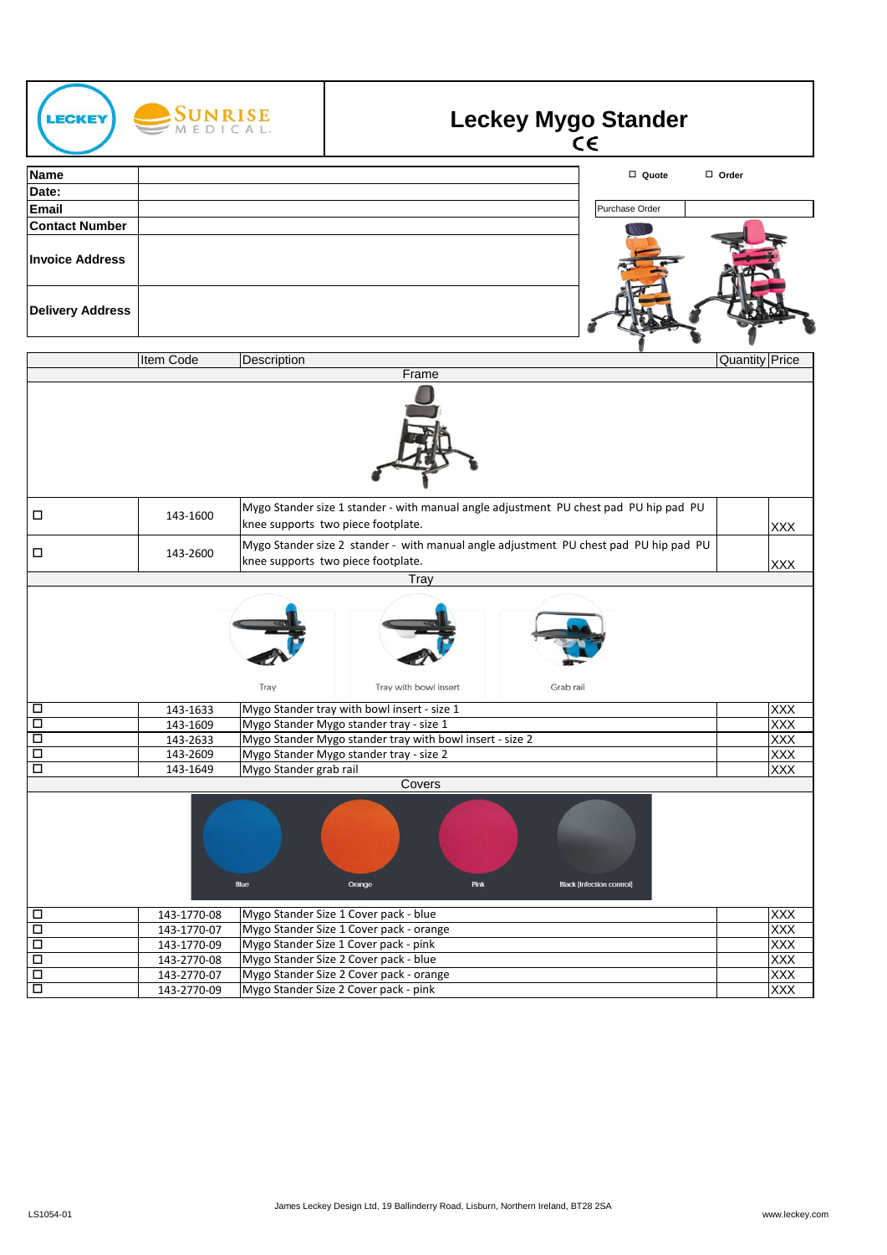| <b>LECKEY</b>                  | SUNRISE              |                        |                                                                                                                             |           | <b>Leckey Mygo Stander</b><br>CE |                |                          |
|--------------------------------|----------------------|------------------------|-----------------------------------------------------------------------------------------------------------------------------|-----------|----------------------------------|----------------|--------------------------|
| <b>Name</b>                    |                      |                        |                                                                                                                             |           | □ Quote                          | $\Box$ Order   |                          |
| Date:                          |                      |                        |                                                                                                                             |           |                                  |                |                          |
| <b>Email</b>                   |                      |                        |                                                                                                                             |           | Purchase Order                   |                |                          |
| <b>Contact Number</b>          |                      |                        |                                                                                                                             |           |                                  |                |                          |
| <b>Invoice Address</b>         |                      |                        |                                                                                                                             |           |                                  |                |                          |
| <b>Delivery Address</b>        |                      |                        |                                                                                                                             |           |                                  |                |                          |
|                                | Item Code            | Description            |                                                                                                                             |           |                                  | Quantity Price |                          |
|                                |                      |                        | Frame                                                                                                                       |           |                                  |                |                          |
|                                |                      |                        |                                                                                                                             |           |                                  |                |                          |
| □                              | 143-1600             |                        | Mygo Stander size 1 stander - with manual angle adjustment PU chest pad PU hip pad PU<br>knee supports two piece footplate. |           |                                  |                | XXX                      |
| □                              | 143-2600             |                        | Mygo Stander size 2 stander - with manual angle adjustment PU chest pad PU hip pad PU<br>knee supports two piece footplate. |           |                                  |                | XXX                      |
|                                |                      |                        | Tray                                                                                                                        |           |                                  |                |                          |
|                                |                      |                        |                                                                                                                             |           |                                  |                |                          |
|                                |                      | Tray                   | Tray with bowl insert                                                                                                       | Grab rail |                                  |                |                          |
| $\Box$                         | 143-1633             |                        | Mygo Stander tray with bowl insert - size 1                                                                                 |           |                                  |                | XXX                      |
| $\overline{\square}$<br>$\Box$ | 143-1609             |                        | Mygo Stander Mygo stander tray - size 1<br>Mygo Stander Mygo stander tray with bowl insert - size 2                         |           |                                  |                | <b>XXX</b><br><b>XXX</b> |
| $\Box$                         | 143-2633<br>143-2609 |                        | Mygo Stander Mygo stander tray - size 2                                                                                     |           |                                  |                | <b>XXX</b>               |
| $\overline{\square}$           | 143-1649             | Mygo Stander grab rail |                                                                                                                             |           |                                  |                | <b>XXX</b>               |
|                                |                      |                        | Covers                                                                                                                      |           |                                  |                |                          |
|                                |                      | Blue                   | Pink<br>Orange                                                                                                              |           | <b>Black [Infection control]</b> |                |                          |
| $\Box$                         | 143-1770-08          |                        | Mygo Stander Size 1 Cover pack - blue                                                                                       |           |                                  |                | XXX                      |
| $\overline{\Box}$              | 143-1770-07          |                        | Mygo Stander Size 1 Cover pack - orange                                                                                     |           |                                  |                | <b>XXX</b>               |
| $\Box$                         | 143-1770-09          |                        | Mygo Stander Size 1 Cover pack - pink                                                                                       |           |                                  |                | <b>XXX</b>               |
| $\Box$                         | 143-2770-08          |                        | Mygo Stander Size 2 Cover pack - blue                                                                                       |           |                                  |                | <b>XXX</b>               |
| $\overline{\Box}$              | 143-2770-07          |                        | Mygo Stander Size 2 Cover pack - orange                                                                                     |           |                                  |                | <b>XXX</b>               |
| $\overline{\square}$           | 143-2770-09          |                        | Mygo Stander Size 2 Cover pack - pink                                                                                       |           |                                  |                | <b>XXX</b>               |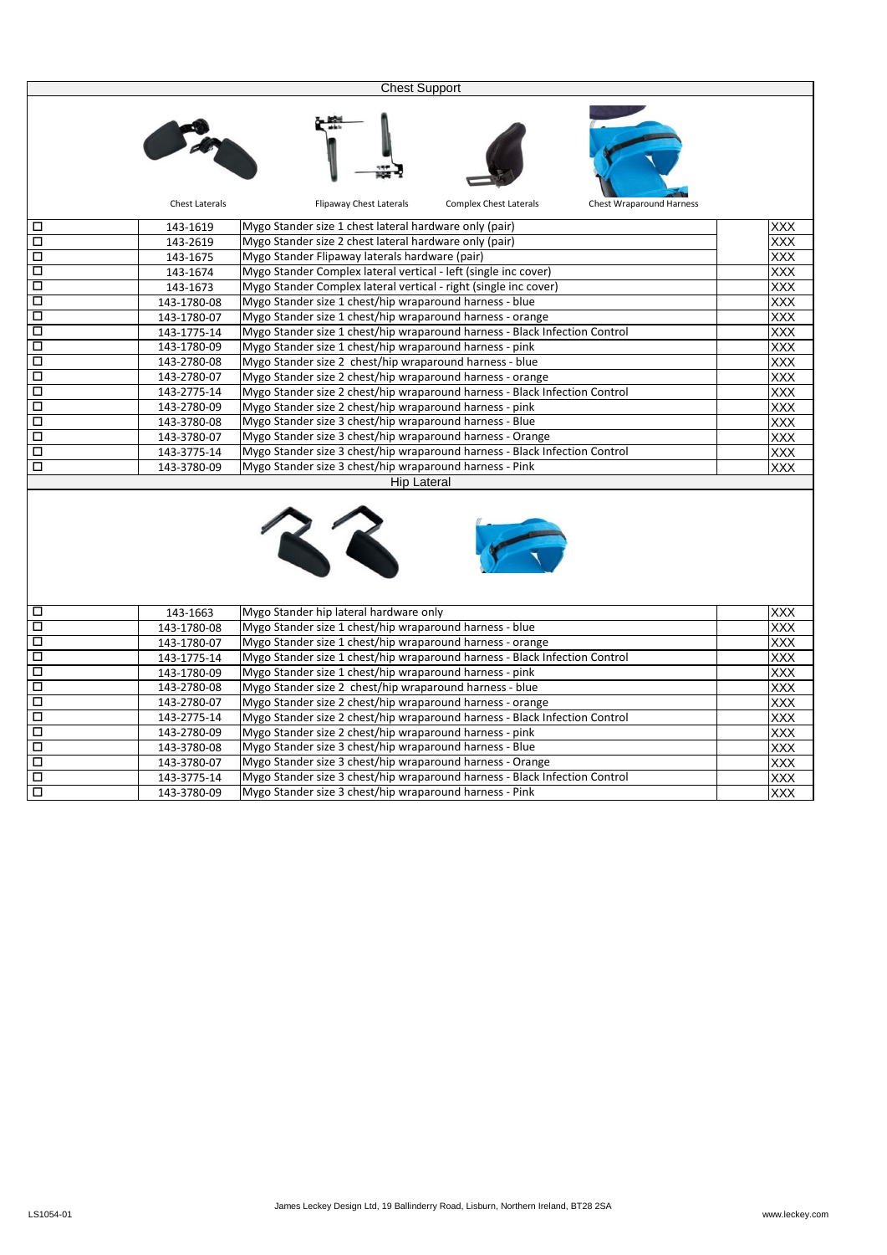|        |                       | <b>Chest Support</b>                                                                               |                  |
|--------|-----------------------|----------------------------------------------------------------------------------------------------|------------------|
|        |                       |                                                                                                    |                  |
|        |                       |                                                                                                    |                  |
|        | <b>Chest Laterals</b> | <b>Flipaway Chest Laterals</b><br><b>Complex Chest Laterals</b><br><b>Chest Wraparound Harness</b> |                  |
| □      | 143-1619              | Mygo Stander size 1 chest lateral hardware only (pair)                                             | XXX              |
| П      | 143-2619              | Mygo Stander size 2 chest lateral hardware only (pair)                                             | XXX              |
| □      | 143-1675              | Mygo Stander Flipaway laterals hardware (pair)                                                     | XXX              |
| $\Box$ | 143-1674              | Mygo Stander Complex lateral vertical - left (single inc cover)                                    | XXX              |
| $\Box$ | 143-1673              | Mygo Stander Complex lateral vertical - right (single inc cover)                                   | XXX              |
| □      | 143-1780-08           | Mygo Stander size 1 chest/hip wraparound harness - blue                                            | XXX              |
| □      | 143-1780-07           | Mygo Stander size 1 chest/hip wraparound harness - orange                                          | <b>XXX</b>       |
| □      | 143-1775-14           | Mygo Stander size 1 chest/hip wraparound harness - Black Infection Control                         | XXX              |
| О      | 143-1780-09           | Mygo Stander size 1 chest/hip wraparound harness - pink                                            | XXX              |
| □      | 143-2780-08           | Mygo Stander size 2 chest/hip wraparound harness - blue                                            | XXX              |
| □      | 143-2780-07           | Mygo Stander size 2 chest/hip wraparound harness - orange                                          | $\overline{XXX}$ |
| □      | 143-2775-14           | Mygo Stander size 2 chest/hip wraparound harness - Black Infection Control                         | XXX              |
| □      | 143-2780-09           | Mygo Stander size 2 chest/hip wraparound harness - pink                                            | XXX              |
| □      | 143-3780-08           | Mygo Stander size 3 chest/hip wraparound harness - Blue                                            | <b>XXX</b>       |
| □      | 143-3780-07           | Mygo Stander size 3 chest/hip wraparound harness - Orange                                          | XXX              |
| □      | 143-3775-14           | Mygo Stander size 3 chest/hip wraparound harness - Black Infection Control                         | XXX              |
| □      | 143-3780-09           | Mygo Stander size 3 chest/hip wraparound harness - Pink                                            | XXX              |
|        |                       | <b>Hip Lateral</b>                                                                                 |                  |
|        |                       |                                                                                                    |                  |
| □      | 143-1663              | Mygo Stander hip lateral hardware only                                                             | <u>XXX</u>       |
| □      | 143-1780-08           | Mygo Stander size 1 chest/hip wraparound harness - blue                                            | $\overline{XXX}$ |
| □      | 143-1780-07           | Mygo Stander size 1 chest/hip wraparound harness - orange                                          | XXX              |
| □      | 143-1775-14           | Mygo Stander size 1 chest/hip wraparound harness - Black Infection Control                         | XXX              |
| □      | 143-1780-09           | Mygo Stander size 1 chest/hip wraparound harness - pink                                            | XXX              |
| □      | 143-2780-08           | Mygo Stander size 2 chest/hip wraparound harness - blue                                            | XXX              |
| П      | 143-2780-07           | Mygo Stander size 2 chest/hip wraparound harness - orange                                          | XXX              |
| □      | 143-2775-14           | Mygo Stander size 2 chest/hip wraparound harness - Black Infection Control                         | XXX              |
| □      | 143-2780-09           | Mygo Stander size 2 chest/hip wraparound harness - pink                                            | $\overline{XXX}$ |
| $\Box$ | 143-3780-08           | Mygo Stander size 3 chest/hip wraparound harness - Blue                                            | XXX              |
| $\Box$ | 143-3780-07           | Mygo Stander size 3 chest/hip wraparound harness - Orange                                          | <b>XXX</b>       |
| $\Box$ | 143-3775-14           | Mygo Stander size 3 chest/hip wraparound harness - Black Infection Control                         | XXX              |
| $\Box$ | 143-3780-09           | Mygo Stander size 3 chest/hip wraparound harness - Pink                                            | XXX              |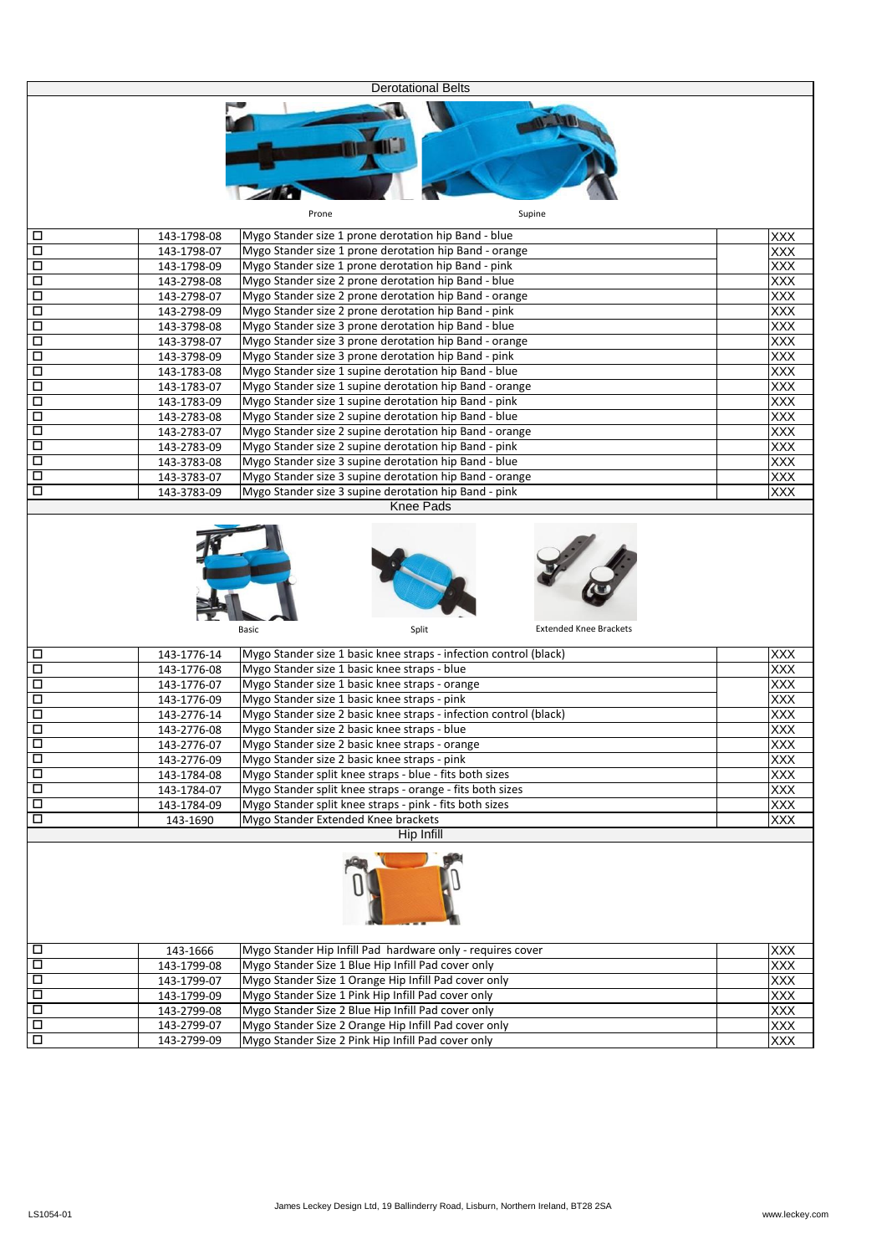|                                           |                            | <b>Derotational Belts</b>                                                                                         |                  |
|-------------------------------------------|----------------------------|-------------------------------------------------------------------------------------------------------------------|------------------|
|                                           |                            | Prone                                                                                                             |                  |
|                                           |                            | Supine                                                                                                            |                  |
| $\Box$                                    | 143-1798-08                | Mygo Stander size 1 prone derotation hip Band - blue                                                              | XXX              |
| $\Box$                                    | 143-1798-07                | Mygo Stander size 1 prone derotation hip Band - orange                                                            | XXX              |
| $\overline{\square}$                      | 143-1798-09                | Mygo Stander size 1 prone derotation hip Band - pink                                                              | $\overline{XXX}$ |
| $\overline{\square}$                      | 143-2798-08                | Mygo Stander size 2 prone derotation hip Band - blue                                                              | XXX              |
| $\overline{\square}$<br>$\overline{\Box}$ | 143-2798-07                | Mygo Stander size 2 prone derotation hip Band - orange                                                            | XXX              |
| $\overline{\Box}$                         | 143-2798-09<br>143-3798-08 | Mygo Stander size 2 prone derotation hip Band - pink<br>Mygo Stander size 3 prone derotation hip Band - blue      | XXX<br>XXX       |
| $\Box$                                    | 143-3798-07                | Mygo Stander size 3 prone derotation hip Band - orange                                                            | <b>XXX</b>       |
| $\Box$                                    | 143-3798-09                | Mygo Stander size 3 prone derotation hip Band - pink                                                              | XXX              |
| $\Box$                                    | 143-1783-08                | Mygo Stander size 1 supine derotation hip Band - blue                                                             | XXX              |
| $\Box$                                    | 143-1783-07                | Mygo Stander size 1 supine derotation hip Band - orange                                                           | XXX              |
| $\Box$                                    | 143-1783-09                | Mygo Stander size 1 supine derotation hip Band - pink                                                             | XXX              |
| $\Box$                                    | 143-2783-08                | Mygo Stander size 2 supine derotation hip Band - blue                                                             | XXX              |
| $\overline{\square}$                      | 143-2783-07                | Mygo Stander size 2 supine derotation hip Band - orange                                                           | XXX              |
| $\overline{\square}$                      | 143-2783-09                | Mygo Stander size 2 supine derotation hip Band - pink                                                             | XXX              |
| $\overline{\Box}$                         | 143-3783-08                | Mygo Stander size 3 supine derotation hip Band - blue                                                             | <b>XXX</b>       |
| $\Box$                                    | 143-3783-07                | Mygo Stander size 3 supine derotation hip Band - orange                                                           | <b>XXX</b>       |
| $\Box$                                    | 143-3783-09                | Mygo Stander size 3 supine derotation hip Band - pink<br><b>Knee Pads</b>                                         | XXX              |
|                                           |                            |                                                                                                                   |                  |
|                                           |                            | <b>Extended Knee Brackets</b><br>Basic<br>Split                                                                   |                  |
|                                           |                            |                                                                                                                   |                  |
| $\Box$                                    | 143-1776-14                | Mygo Stander size 1 basic knee straps - infection control (black)                                                 | <b>XXX</b>       |
| $\Box$                                    | 143-1776-08                | Mygo Stander size 1 basic knee straps - blue                                                                      | XXX              |
| $\Box$                                    | 143-1776-07                | Mygo Stander size 1 basic knee straps - orange                                                                    | XXX              |
| $\overline{\square}$                      | 143-1776-09                | Mygo Stander size 1 basic knee straps - pink                                                                      | XXX              |
| $\Box$<br>$\Box$                          | 143-2776-14<br>143-2776-08 | Mygo Stander size 2 basic knee straps - infection control (black)<br>Mygo Stander size 2 basic knee straps - blue | XXX              |
| $\Box$                                    | 143-2776-07                | Mygo Stander size 2 basic knee straps - orange                                                                    | XXX<br>XXX       |
| $\Box$                                    | 143-2776-09                | Mygo Stander size 2 basic knee straps - pink                                                                      | <b>XXX</b>       |
| $\overline{\Box}$                         | 143-1784-08                | Mygo Stander split knee straps - blue - fits both sizes                                                           | <b>XXX</b>       |
| $\Box$                                    | 143-1784-07                | Mygo Stander split knee straps - orange - fits both sizes                                                         | XXX              |
| $\Box$                                    | 143-1784-09                | Mygo Stander split knee straps - pink - fits both sizes                                                           | XXX              |
| $\Box$                                    | 143-1690                   | Mygo Stander Extended Knee brackets                                                                               | XXX              |
|                                           |                            | Hip Infill                                                                                                        |                  |
|                                           |                            |                                                                                                                   |                  |
| $\Box$                                    | 143-1666                   | Mygo Stander Hip Infill Pad hardware only - requires cover                                                        | <b>XXX</b>       |
| $\Box$                                    | 143-1799-08                | Mygo Stander Size 1 Blue Hip Infill Pad cover only                                                                | XXX              |
| $\Box$                                    | 143-1799-07                | Mygo Stander Size 1 Orange Hip Infill Pad cover only                                                              | <b>XXX</b>       |
| $\Box$                                    | 143-1799-09                | Mygo Stander Size 1 Pink Hip Infill Pad cover only<br>Mygo Stander Size 2 Blue Hip Infill Pad cover only          | XXX              |
| $\Box$<br>$\overline{\square}$            | 143-2799-08<br>143-2799-07 | Mygo Stander Size 2 Orange Hip Infill Pad cover only                                                              | XXX<br>XXX       |